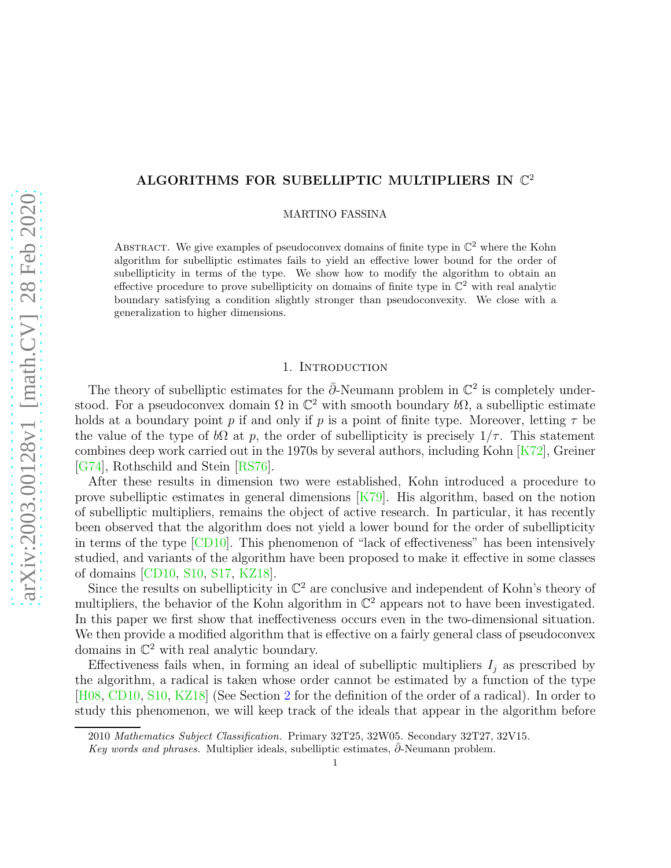# ALGORITHMS FOR SUBELLIPTIC MULTIPLIERS IN  $\mathbb{C}^2$

MARTINO FASSINA

ABSTRACT. We give examples of pseudoconvex domains of finite type in  $\mathbb{C}^2$  where the Kohn algorithm for subelliptic estimates fails to yield an effective lower bound for the order of subellipticity in terms of the type. We show how to modify the algorithm to obtain an effective procedure to prove subellipticity on domains of finite type in  $\mathbb{C}^2$  with real analytic boundary satisfying a condition slightly stronger than pseudoconvexity. We close with a generalization to higher dimensions.

## 1. INTRODUCTION

The theory of subelliptic estimates for the  $\bar{\partial}$ -Neumann problem in  $\mathbb{C}^2$  is completely understood. For a pseudoconvex domain  $\Omega$  in  $\mathbb{C}^2$  with smooth boundary  $b\Omega$ , a subelliptic estimate holds at a boundary point p if and only if p is a point of finite type. Moreover, letting  $\tau$  be the value of the type of  $b\Omega$  at p, the order of subellipticity is precisely  $1/\tau$ . This statement combines deep work carried out in the 1970s by several authors, including Kohn [\[K72\]](#page-12-0), Greiner [\[G74\]](#page-12-1), Rothschild and Stein [\[RS76\]](#page-12-2).

After these results in dimension two were established, Kohn introduced a procedure to prove subelliptic estimates in general dimensions [\[K79\]](#page-12-3). His algorithm, based on the notion of subelliptic multipliers, remains the object of active research. In particular, it has recently been observed that the algorithm does not yield a lower bound for the order of subellipticity in terms of the type [\[CD10\]](#page-12-4). This phenomenon of "lack of effectiveness" has been intensively studied, and variants of the algorithm have been proposed to make it effective in some classes of domains [\[CD10,](#page-12-4) [S10,](#page-12-5) [S17,](#page-12-6) [KZ18\]](#page-12-7).

Since the results on subellipticity in  $\mathbb{C}^2$  are conclusive and independent of Kohn's theory of multipliers, the behavior of the Kohn algorithm in  $\mathbb{C}^2$  appears not to have been investigated. In this paper we first show that ineffectiveness occurs even in the two-dimensional situation. We then provide a modified algorithm that is effective on a fairly general class of pseudoconvex domains in  $\mathbb{C}^2$  with real analytic boundary.

Effectiveness fails when, in forming an ideal of subelliptic multipliers  $I_j$  as prescribed by the algorithm, a radical is taken whose order cannot be estimated by a function of the type [\[H08,](#page-12-8) [CD10,](#page-12-4) [S10,](#page-12-5) [KZ18\]](#page-12-7) (See Section [2](#page-2-0) for the definition of the order of a radical). In order to study this phenomenon, we will keep track of the ideals that appear in the algorithm before

<sup>2010</sup> Mathematics Subject Classification. Primary 32T25, 32W05. Secondary 32T27, 32V15.

Key words and phrases. Multiplier ideals, subelliptic estimates,  $\partial$ -Neumann problem.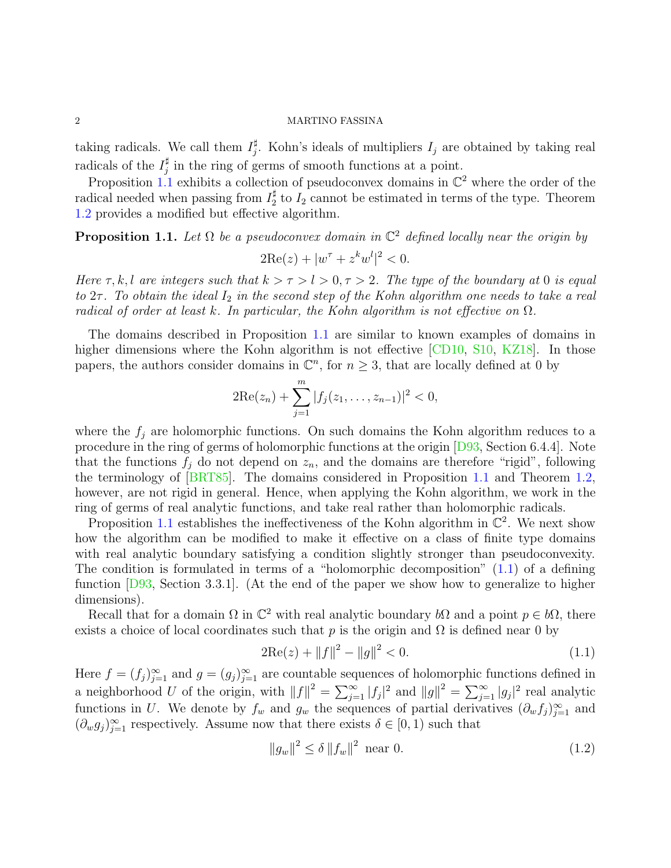taking radicals. We call them  $I_i^{\sharp}$ <sup> $\frac{\pi}{j}$ </sup>. Kohn's ideals of multipliers  $I_j$  are obtained by taking real radicals of the  $I_i^{\sharp}$  $j$  in the ring of germs of smooth functions at a point.

Proposition [1.1](#page-1-0) exhibits a collection of pseudoconvex domains in  $\mathbb{C}^2$  where the order of the radical needed when passing from  $I_2^{\sharp}$  to  $I_2$  cannot be estimated in terms of the type. Theorem [1.2](#page-2-1) provides a modified but effective algorithm.

<span id="page-1-0"></span>**Proposition 1.1.** Let  $\Omega$  be a pseudoconvex domain in  $\mathbb{C}^2$  defined locally near the origin by

$$
2\text{Re}(z) + |w^{\tau} + z^k w^l|^2 < 0.
$$

Here  $\tau, k, l$  are integers such that  $k > \tau > l > 0, \tau > 2$ . The type of the boundary at 0 is equal to  $2\tau$ . To obtain the ideal  $I_2$  in the second step of the Kohn algorithm one needs to take a real radical of order at least k. In particular, the Kohn algorithm is not effective on  $\Omega$ .

The domains described in Proposition [1.1](#page-1-0) are similar to known examples of domains in higher dimensions where the Kohn algorithm is not effective [\[CD10,](#page-12-4) [S10,](#page-12-5) [KZ18\]](#page-12-7). In those papers, the authors consider domains in  $\mathbb{C}^n$ , for  $n \geq 3$ , that are locally defined at 0 by

$$
2\mathrm{Re}(z_n)+\sum_{j=1}^m|f_j(z_1,\ldots,z_{n-1})|^2<0,
$$

where the  $f_i$  are holomorphic functions. On such domains the Kohn algorithm reduces to a procedure in the ring of germs of holomorphic functions at the origin [\[D93,](#page-12-9) Section 6.4.4]. Note that the functions  $f_j$  do not depend on  $z_n$ , and the domains are therefore "rigid", following the terminology of [\[BRT85\]](#page-12-10). The domains considered in Proposition [1.1](#page-1-0) and Theorem [1.2,](#page-2-1) however, are not rigid in general. Hence, when applying the Kohn algorithm, we work in the ring of germs of real analytic functions, and take real rather than holomorphic radicals.

Proposition [1.1](#page-1-0) establishes the ineffectiveness of the Kohn algorithm in  $\mathbb{C}^2$ . We next show how the algorithm can be modified to make it effective on a class of finite type domains with real analytic boundary satisfying a condition slightly stronger than pseudoconvexity. The condition is formulated in terms of a "holomorphic decomposition" [\(1.1\)](#page-1-1) of a defining function [\[D93,](#page-12-9) Section 3.3.1]. (At the end of the paper we show how to generalize to higher dimensions).

Recall that for a domain  $\Omega$  in  $\mathbb{C}^2$  with real analytic boundary  $b\Omega$  and a point  $p \in b\Omega$ , there exists a choice of local coordinates such that p is the origin and  $\Omega$  is defined near 0 by

<span id="page-1-1"></span>
$$
2\text{Re}(z) + \|f\|^2 - \|g\|^2 < 0. \tag{1.1}
$$

Here  $f = (f_j)_{j=1}^{\infty}$  and  $g = (g_j)_{j=1}^{\infty}$  are countable sequences of holomorphic functions defined in a neighborhood U of the origin, with  $||f||^2 = \sum_{j=1}^{\infty} |f_j|^2$  and  $||g||^2 = \sum_{j=1}^{\infty} |g_j|^2$  real analytic functions in U. We denote by  $f_w$  and  $g_w$  the sequences of partial derivatives  $(\partial_w f_j)_{j=1}^{\infty}$  and  $(\partial_w g_j)_{j=1}^{\infty}$  respectively. Assume now that there exists  $\delta \in [0,1)$  such that

<span id="page-1-2"></span>
$$
||g_w||^2 \le \delta ||f_w||^2 \text{ near } 0. \tag{1.2}
$$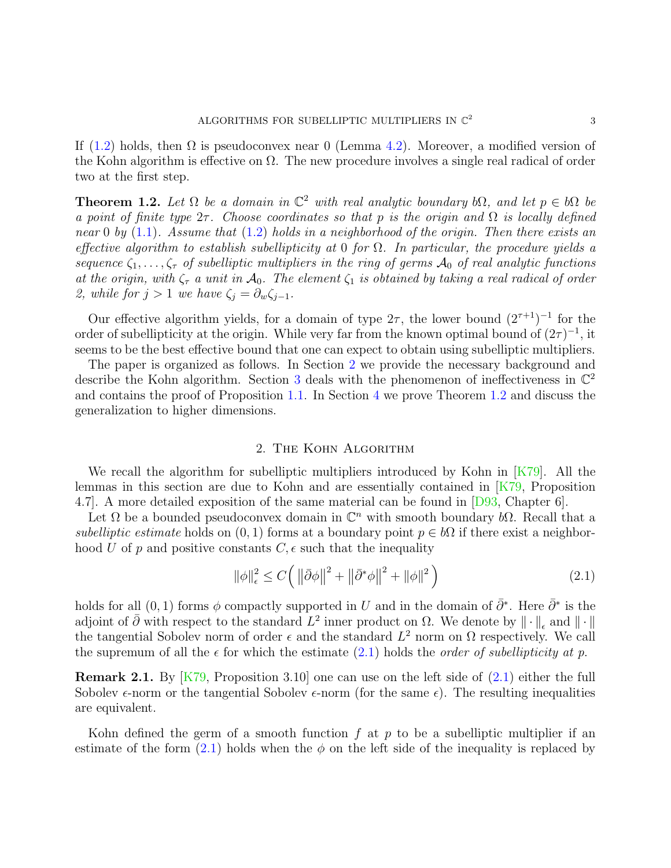If [\(1.2\)](#page-1-2) holds, then  $\Omega$  is pseudoconvex near 0 (Lemma [4.2\)](#page-8-0). Moreover, a modified version of the Kohn algorithm is effective on  $\Omega$ . The new procedure involves a single real radical of order two at the first step.

<span id="page-2-1"></span>**Theorem 1.2.** Let  $\Omega$  be a domain in  $\mathbb{C}^2$  with real analytic boundary b $\Omega$ , and let  $p \in b\Omega$  be a point of finite type  $2\tau$ . Choose coordinates so that p is the origin and  $\Omega$  is locally defined near 0 by  $(1.1)$ . Assume that  $(1.2)$  holds in a neighborhood of the origin. Then there exists an effective algorithm to establish subellipticity at 0 for  $\Omega$ . In particular, the procedure yields a sequence  $\zeta_1, \ldots, \zeta_r$  of subelliptic multipliers in the ring of germs  $\mathcal{A}_0$  of real analytic functions at the origin, with  $\zeta_{\tau}$  a unit in  $\mathcal{A}_0$ . The element  $\zeta_1$  is obtained by taking a real radical of order 2, while for  $j > 1$  we have  $\zeta_j = \partial_w \zeta_{j-1}$ .

Our effective algorithm yields, for a domain of type  $2\tau$ , the lower bound  $(2^{\tau+1})^{-1}$  for the order of subellipticity at the origin. While very far from the known optimal bound of  $(2\tau)^{-1}$ , it seems to be the best effective bound that one can expect to obtain using subelliptic multipliers.

The paper is organized as follows. In Section [2](#page-2-0) we provide the necessary background and describe the Kohn algorithm. Section [3](#page-6-0) deals with the phenomenon of ineffectiveness in  $\mathbb{C}^2$ and contains the proof of Proposition [1.1.](#page-1-0) In Section [4](#page-8-1) we prove Theorem [1.2](#page-2-1) and discuss the generalization to higher dimensions.

### 2. The Kohn Algorithm

<span id="page-2-0"></span>We recall the algorithm for subelliptic multipliers introduced by Kohn in  $[K79]$ . All the lemmas in this section are due to Kohn and are essentially contained in [\[K79,](#page-12-3) Proposition 4.7]. A more detailed exposition of the same material can be found in [\[D93,](#page-12-9) Chapter 6].

Let  $\Omega$  be a bounded pseudoconvex domain in  $\mathbb{C}^n$  with smooth boundary  $b\Omega$ . Recall that a subelliptic estimate holds on  $(0, 1)$  forms at a boundary point  $p \in b\Omega$  if there exist a neighborhood U of p and positive constants  $C, \epsilon$  such that the inequality

<span id="page-2-2"></span>
$$
\|\phi\|_{\epsilon}^{2} \le C \left( \left\|\bar{\partial}\phi\right\|^{2} + \left\|\bar{\partial}^{*}\phi\right\|^{2} + \|\phi\|^{2} \right)
$$
\n(2.1)

holds for all  $(0, 1)$  forms  $\phi$  compactly supported in U and in the domain of  $\bar{\partial}^*$ . Here  $\bar{\partial}^*$  is the adjoint of  $\bar{\partial}$  with respect to the standard  $L^2$  inner product on  $\Omega$ . We denote by  $\|\cdot\|_{\epsilon}$  and  $\|\cdot\|$ the tangential Sobolev norm of order  $\epsilon$  and the standard  $L^2$  norm on  $\Omega$  respectively. We call the supremum of all the  $\epsilon$  for which the estimate [\(2.1\)](#page-2-2) holds the *order of subellipticity at p*.

**Remark 2.1.** By  $[K79,$  Proposition 3.10 one can use on the left side of  $(2.1)$  either the full Sobolev  $\epsilon$ -norm or the tangential Sobolev  $\epsilon$ -norm (for the same  $\epsilon$ ). The resulting inequalities are equivalent.

Kohn defined the germ of a smooth function  $f$  at  $p$  to be a subelliptic multiplier if an estimate of the form  $(2.1)$  holds when the  $\phi$  on the left side of the inequality is replaced by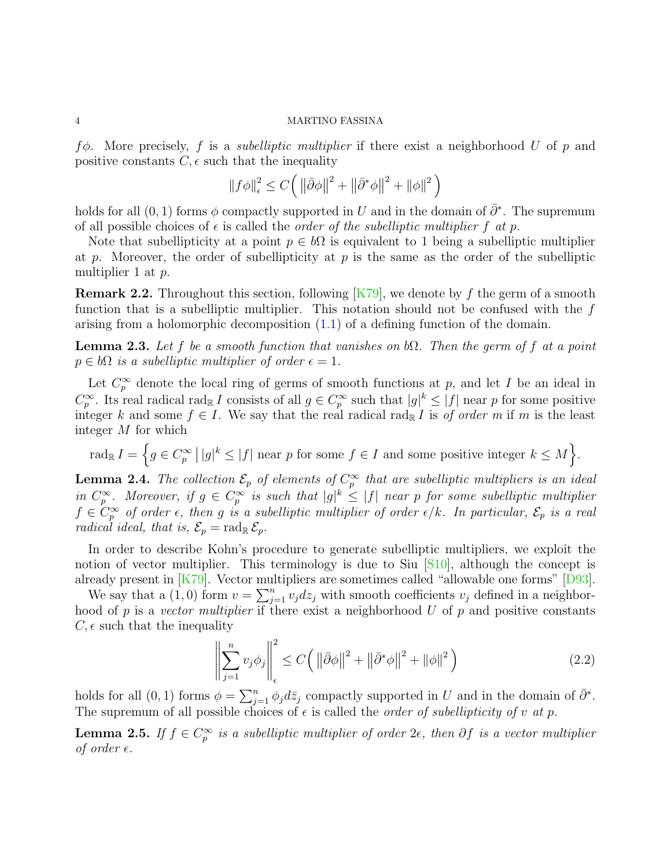$f\phi$ . More precisely, f is a *subelliptic multiplier* if there exist a neighborhood U of p and positive constants  $C, \epsilon$  such that the inequality

$$
\|f\phi\|_{\epsilon}^{2} \le C\Big(\left\|\bar{\partial}\phi\right\|^{2} + \left\|\bar{\partial}^{*}\phi\right\|^{2} + \left\|\phi\right\|^{2}\Big)
$$

holds for all  $(0, 1)$  forms  $\phi$  compactly supported in U and in the domain of  $\bar{\partial}^*$ . The supremum of all possible choices of  $\epsilon$  is called the *order of the subelliptic multiplier* f at p.

Note that subellipticity at a point  $p \in b\Omega$  is equivalent to 1 being a subelliptic multiplier at p. Moreover, the order of subellipticity at p is the same as the order of the subelliptic multiplier 1 at p.

**Remark 2.2.** Throughout this section, following  $[K79]$ , we denote by f the germ of a smooth function that is a subelliptic multiplier. This notation should not be confused with the  $f$ arising from a holomorphic decomposition [\(1.1\)](#page-1-1) of a defining function of the domain.

<span id="page-3-0"></span>**Lemma 2.3.** Let f be a smooth function that vanishes on  $b\Omega$ . Then the germ of f at a point  $p \in b\Omega$  is a subelliptic multiplier of order  $\epsilon = 1$ .

Let  $C_p^{\infty}$  denote the local ring of germs of smooth functions at p, and let I be an ideal in  $C_p^{\infty}$  $p^{\infty}$ . Its real radical rad<sub>R</sub> I consists of all  $g \in C_p^{\infty}$  $p_p^{\infty}$  such that  $|g|^k \leq |f|$  near p for some positive integer k and some  $f \in I$ . We say that the real radical rad<sub>R</sub> I is of order m if m is the least integer M for which

 $\operatorname{rad}_{\mathbb{R}} I = \left\{ g \in C_n^{\infty} \right\}$  $|g|^k \leq |f|$  near p for some  $f \in I$  and some positive integer  $k \leq M$ .

<span id="page-3-3"></span>**Lemma 2.4.** The collection  $\mathcal{E}_p$  of elements of  $C_p^{\infty}$  $\int_{p}^{\infty}$  that are subelliptic multipliers is an ideal in  $C_n^{\infty}$  $p^{\infty}$ . Moreover, if  $g \in C_p^{\infty}$  $p_p^{\infty}$  is such that  $|g|^k \leq |f|$  near p for some subelliptic multiplier  $f \in C_p^{\infty}$  $p_p^{\infty}$  of order  $\epsilon$ , then  $g$  is a subelliptic multiplier of order  $\epsilon/k$ . In particular,  $\mathcal{E}_p$  is a real radical ideal, that is,  $\mathcal{E}_p = \text{rad}_{\mathbb{R}} \mathcal{E}_p$ .

In order to describe Kohn's procedure to generate subelliptic multipliers, we exploit the notion of vector multiplier. This terminology is due to Siu [\[S10\]](#page-12-5), although the concept is already present in [\[K79\]](#page-12-3). Vector multipliers are sometimes called "allowable one forms" [\[D93\]](#page-12-9).

We say that a (1,0) form  $v = \sum_{j=1}^{n} v_j dz_j$  with smooth coefficients  $v_j$  defined in a neighborhood of p is a vector multiplier if there exist a neighborhood  $U$  of p and positive constants  $C, \epsilon$  such that the inequality

<span id="page-3-1"></span>
$$
\left\| \sum_{j=1}^{n} v_j \phi_j \right\|_{\epsilon}^2 \le C \left( \left\| \bar{\partial} \phi \right\|^2 + \left\| \bar{\partial}^* \phi \right\|^2 + \left\| \phi \right\|^2 \right) \tag{2.2}
$$

holds for all  $(0, 1)$  forms  $\phi = \sum_{j=1}^n \phi_j d\bar{z}_j$  compactly supported in U and in the domain of  $\bar{\partial}^*$ . The supremum of all possible choices of  $\epsilon$  is called the *order of subellipticity of v at p*.

<span id="page-3-2"></span>Lemma 2.5. If  $f \in C_n^{\infty}$  $\int_{p}^{\infty}$  is a subelliptic multiplier of order  $2\epsilon$ , then  $\partial f$  is a vector multiplier of order  $\epsilon$ .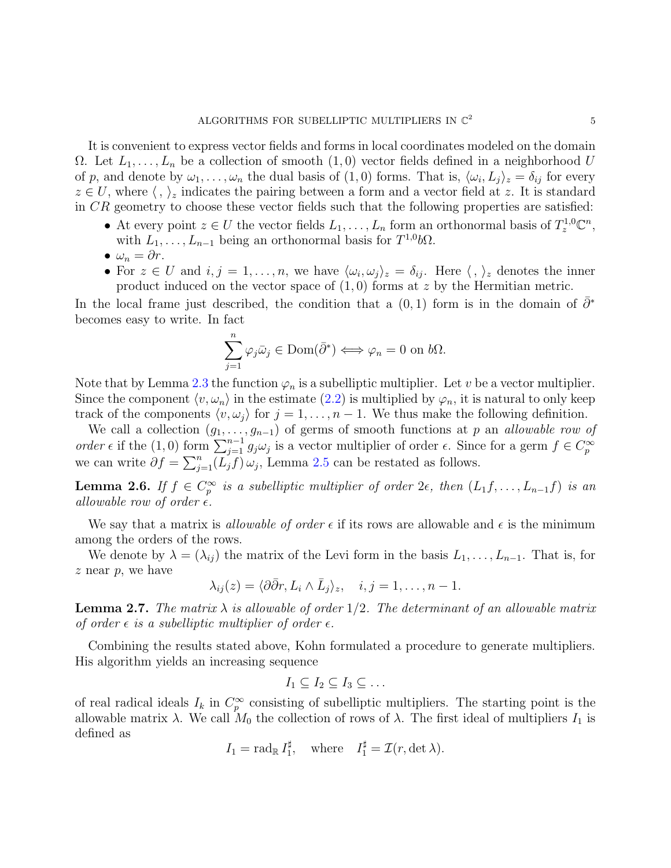It is convenient to express vector fields and forms in local coordinates modeled on the domain  $\Omega$ . Let  $L_1, \ldots, L_n$  be a collection of smooth  $(1,0)$  vector fields defined in a neighborhood U of p, and denote by  $\omega_1, \ldots, \omega_n$  the dual basis of  $(1,0)$  forms. That is,  $\langle \omega_i, L_j \rangle_z = \delta_{ij}$  for every  $z \in U$ , where  $\langle , \rangle_z$  indicates the pairing between a form and a vector field at z. It is standard in CR geometry to choose these vector fields such that the following properties are satisfied:

- At every point  $z \in U$  the vector fields  $L_1, \ldots, L_n$  form an orthonormal basis of  $T_z^{1,0}\mathbb{C}^n$ , with  $L_1, \ldots, L_{n-1}$  being an orthonormal basis for  $T^{1,0}b\Omega$ .
- $\omega_n = \partial r$ .
- For  $z \in U$  and  $i, j = 1, \ldots, n$ , we have  $\langle \omega_i, \omega_j \rangle_z = \delta_{ij}$ . Here  $\langle , \rangle_z$  denotes the inner product induced on the vector space of  $(1,0)$  forms at z by the Hermitian metric.

In the local frame just described, the condition that a  $(0,1)$  form is in the domain of  $\bar{\partial}^*$ becomes easy to write. In fact

$$
\sum_{j=1}^{n} \varphi_j \bar{\omega}_j \in \text{Dom}(\bar{\partial}^*) \iff \varphi_n = 0 \text{ on } b\Omega.
$$

Note that by Lemma [2.3](#page-3-0) the function  $\varphi_n$  is a subelliptic multiplier. Let v be a vector multiplier. Since the component  $\langle v, \omega_n \rangle$  in the estimate [\(2.2\)](#page-3-1) is multiplied by  $\varphi_n$ , it is natural to only keep track of the components  $\langle v, \omega_j \rangle$  for  $j = 1, \ldots, n - 1$ . We thus make the following definition.

We call a collection  $(g_1, \ldots, g_{n-1})$  of germs of smooth functions at p an allowable row of order  $\epsilon$  if the (1,0) form  $\sum_{j=1}^{\infty} g_j \omega_j$  is a vector multiplier of order  $\epsilon$ . Since for a germ  $f \in C_p^{\infty}$ p we can write  $\partial f = \sum_{j=1}^{n} (L_j f) \omega_j$ , Lemma [2.5](#page-3-2) can be restated as follows.

<span id="page-4-0"></span>Lemma 2.6. If  $f \in C_n^{\infty}$  $\sum_{p}^{\infty}$  is a subelliptic multiplier of order  $2\epsilon$ , then  $(L_1f, \ldots, L_{n-1}f)$  is an allowable row of order  $\epsilon$ .

We say that a matrix is *allowable of order*  $\epsilon$  if its rows are allowable and  $\epsilon$  is the minimum among the orders of the rows.

We denote by  $\lambda = (\lambda_{ij})$  the matrix of the Levi form in the basis  $L_1, \ldots, L_{n-1}$ . That is, for  $z$  near  $p$ , we have

$$
\lambda_{ij}(z) = \langle \partial \bar{\partial} r, L_i \wedge \bar{L}_j \rangle_z, \quad i, j = 1, \dots, n-1.
$$

<span id="page-4-1"></span>**Lemma 2.7.** The matrix  $\lambda$  is allowable of order 1/2. The determinant of an allowable matrix of order  $\epsilon$  is a subelliptic multiplier of order  $\epsilon$ .

Combining the results stated above, Kohn formulated a procedure to generate multipliers. His algorithm yields an increasing sequence

$$
I_1 \subseteq I_2 \subseteq I_3 \subseteq \dots
$$

of real radical ideals  $I_k$  in  $C_p^{\infty}$  $p_p^{\infty}$  consisting of subelliptic multipliers. The starting point is the allowable matrix  $\lambda$ . We call  $M_0$  the collection of rows of  $\lambda$ . The first ideal of multipliers  $I_1$  is defined as

$$
I_1 = \text{rad}_{\mathbb{R}} I_1^{\sharp}
$$
, where  $I_1^{\sharp} = \mathcal{I}(r, \det \lambda)$ .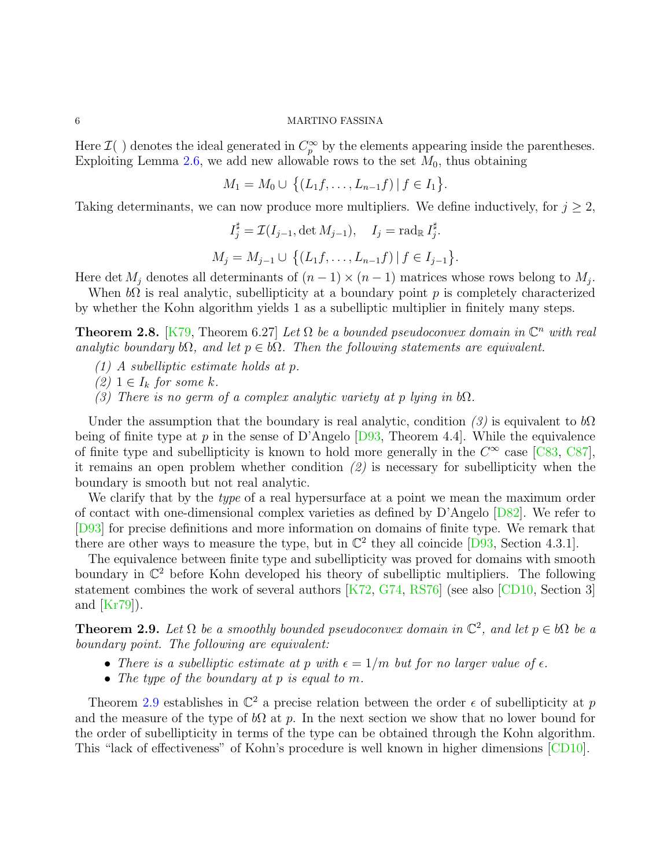Here  $\mathcal{I}$ ( ) denotes the ideal generated in  $C_p^{\infty}$  by the elements appearing inside the parentheses. Exploiting Lemma [2.6,](#page-4-0) we add new allowable rows to the set  $M_0$ , thus obtaining

$$
M_1 = M_0 \cup \{(L_1f, \ldots, L_{n-1}f) | f \in I_1\}.
$$

Taking determinants, we can now produce more multipliers. We define inductively, for  $j \geq 2$ ,

$$
I_j^{\sharp} = \mathcal{I}(I_{j-1}, \det M_{j-1}), \quad I_j = \text{rad}_{\mathbb{R}} I_j^{\sharp}.
$$

$$
M_j = M_{j-1} \cup \{(L_1 f, \dots, L_{n-1} f) | f \in I_{j-1}\}
$$

Here det  $M_j$  denotes all determinants of  $(n-1) \times (n-1)$  matrices whose rows belong to  $M_j$ .

.

When  $b\Omega$  is real analytic, subellipticity at a boundary point p is completely characterized by whether the Kohn algorithm yields 1 as a subelliptic multiplier in finitely many steps.

**Theorem 2.8.** [\[K79,](#page-12-3) Theorem 6.27] Let  $\Omega$  be a bounded pseudoconvex domain in  $\mathbb{C}^n$  with real analytic boundary  $b\Omega$ , and let  $p \in b\Omega$ . Then the following statements are equivalent.

- (1) A subelliptic estimate holds at p.
- $(2)$  1  $\in I_k$  for some k.
- (3) There is no germ of a complex analytic variety at p lying in  $b\Omega$ .

Under the assumption that the boundary is real analytic, condition  $(3)$  is equivalent to  $b\Omega$ being of finite type at p in the sense of D'Angelo [\[D93,](#page-12-9) Theorem 4.4]. While the equivalence of finite type and subellipticity is known to hold more generally in the  $C^{\infty}$  case [\[C83,](#page-12-11) [C87\]](#page-12-12), it remains an open problem whether condition  $(2)$  is necessary for subellipticity when the boundary is smooth but not real analytic.

We clarify that by the type of a real hypersurface at a point we mean the maximum order of contact with one-dimensional complex varieties as defined by D'Angelo [\[D82\]](#page-12-13). We refer to [\[D93\]](#page-12-9) for precise definitions and more information on domains of finite type. We remark that there are other ways to measure the type, but in  $\mathbb{C}^2$  they all coincide [\[D93,](#page-12-9) Section 4.3.1].

The equivalence between finite type and subellipticity was proved for domains with smooth boundary in  $\mathbb{C}^2$  before Kohn developed his theory of subelliptic multipliers. The following statement combines the work of several authors [\[K72,](#page-12-0) [G74,](#page-12-1) [RS76\]](#page-12-2) (see also [\[CD10,](#page-12-4) Section 3] and  $[Kr79]$ ).

<span id="page-5-0"></span>**Theorem 2.9.** Let  $\Omega$  be a smoothly bounded pseudoconvex domain in  $\mathbb{C}^2$ , and let  $p \in b\Omega$  be a boundary point. The following are equivalent:

- There is a subelliptic estimate at p with  $\epsilon = 1/m$  but for no larger value of  $\epsilon$ .
- The type of the boundary at p is equal to m.

Theorem [2.9](#page-5-0) establishes in  $\mathbb{C}^2$  a precise relation between the order  $\epsilon$  of subellipticity at p and the measure of the type of  $b\Omega$  at p. In the next section we show that no lower bound for the order of subellipticity in terms of the type can be obtained through the Kohn algorithm. This "lack of effectiveness" of Kohn's procedure is well known in higher dimensions [\[CD10\]](#page-12-4).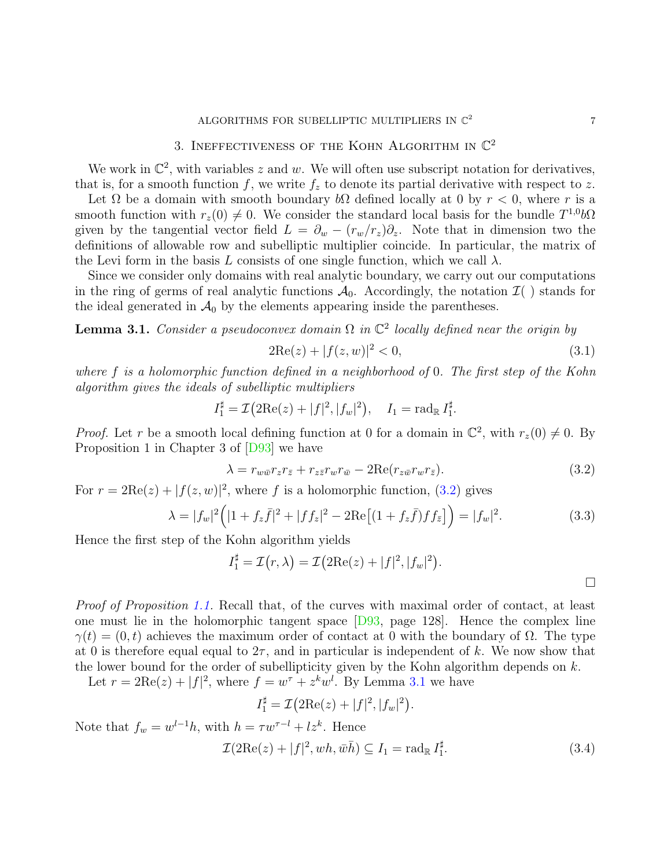## ALGORITHMS FOR SUBELLIPTIC MULTIPLIERS IN  $\mathbb{C}^2$

# 3. INEFFECTIVENESS OF THE KOHN ALGORITHM IN  $\mathbb{C}^2$

<span id="page-6-0"></span>We work in  $\mathbb{C}^2$ , with variables z and w. We will often use subscript notation for derivatives, that is, for a smooth function f, we write  $f_z$  to denote its partial derivative with respect to z.

Let  $\Omega$  be a domain with smooth boundary  $b\Omega$  defined locally at 0 by  $r < 0$ , where r is a smooth function with  $r_z(0) \neq 0$ . We consider the standard local basis for the bundle  $T^{1,0}b\Omega$ given by the tangential vector field  $L = \partial_w - (r_w/r_z)\partial_z$ . Note that in dimension two the definitions of allowable row and subelliptic multiplier coincide. In particular, the matrix of the Levi form in the basis L consists of one single function, which we call  $\lambda$ .

Since we consider only domains with real analytic boundary, we carry out our computations in the ring of germs of real analytic functions  $\mathcal{A}_0$ . Accordingly, the notation  $\mathcal{I}(\ )$  stands for the ideal generated in  $\mathcal{A}_0$  by the elements appearing inside the parentheses.

<span id="page-6-2"></span>**Lemma 3.1.** Consider a pseudoconvex domain  $\Omega$  in  $\mathbb{C}^2$  locally defined near the origin by

$$
2\text{Re}(z) + |f(z, w)|^2 < 0,\tag{3.1}
$$

where f is a holomorphic function defined in a neighborhood of 0. The first step of the Kohn algorithm gives the ideals of subelliptic multipliers

$$
I_1^{\sharp} = \mathcal{I}(2\operatorname{Re}(z) + |f|^2, |f_w|^2), \quad I_1 = \operatorname{rad}_{\mathbb{R}} I_1^{\sharp}.
$$

*Proof.* Let r be a smooth local defining function at 0 for a domain in  $\mathbb{C}^2$ , with  $r_z(0) \neq 0$ . By Proposition 1 in Chapter 3 of [\[D93\]](#page-12-9) we have

<span id="page-6-1"></span>
$$
\lambda = r_{w\bar{w}}r_zr_{\bar{z}} + r_{z\bar{z}}r_wr_{\bar{w}} - 2\text{Re}(r_{z\bar{w}}r_wr_{\bar{z}}). \tag{3.2}
$$

For  $r = 2\text{Re}(z) + |f(z, w)|^2$ , where f is a holomorphic function, [\(3.2\)](#page-6-1) gives

$$
\lambda = |f_w|^2 \Big( |1 + f_z \bar{f}|^2 + |f f_z|^2 - 2 \text{Re} \big[ (1 + f_z \bar{f}) f f_{\bar{z}} \big] \Big) = |f_w|^2. \tag{3.3}
$$

Hence the first step of the Kohn algorithm yields

$$
I_1^{\sharp} = \mathcal{I}(r,\lambda) = \mathcal{I}(2\mathrm{Re}(z) + |f|^2, |f_w|^2).
$$

Proof of Proposition [1.1.](#page-1-0) Recall that, of the curves with maximal order of contact, at least one must lie in the holomorphic tangent space [\[D93,](#page-12-9) page 128]. Hence the complex line  $\gamma(t) = (0, t)$  achieves the maximum order of contact at 0 with the boundary of  $\Omega$ . The type at 0 is therefore equal equal to  $2\tau$ , and in particular is independent of k. We now show that the lower bound for the order of subellipticity given by the Kohn algorithm depends on  $k$ .

Let  $r = 2\text{Re}(z) + |f|^2$ , where  $f = w^{\tau} + z^k w^l$ . By Lemma [3.1](#page-6-2) we have

$$
I_1^{\sharp} = \mathcal{I}(2\mathrm{Re}(z) + |f|^2, |f_w|^2).
$$

Note that  $f_w = w^{l-1}h$ , with  $h = \tau w^{\tau-l} + l z^k$ . Hence

<span id="page-6-3"></span>
$$
\mathcal{I}(2\mathrm{Re}(z) + |f|^2, wh, \bar{w}\bar{h}) \subseteq I_1 = \mathrm{rad}_{\mathbb{R}} I_1^{\sharp}.
$$
\n(3.4)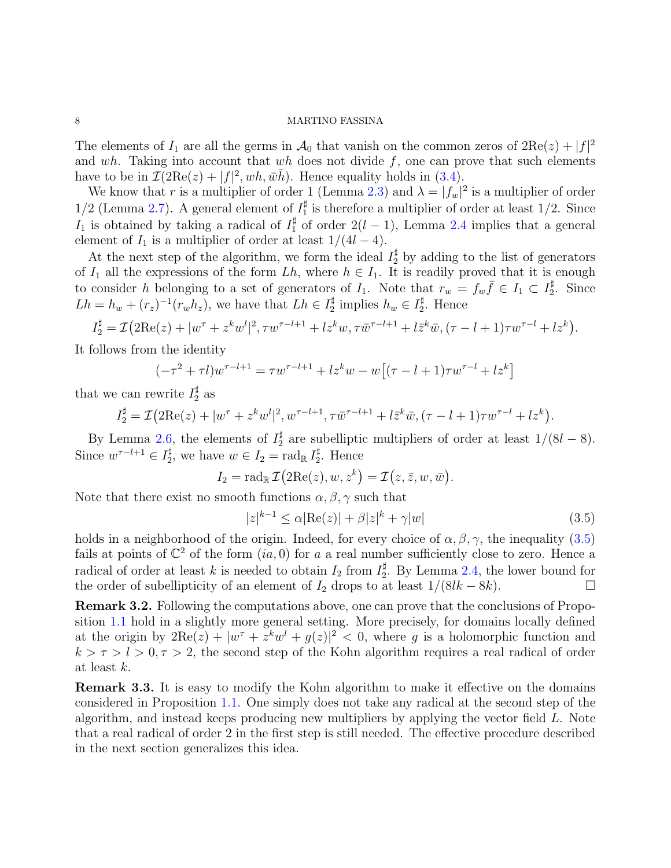The elements of  $I_1$  are all the germs in  $\mathcal{A}_0$  that vanish on the common zeros of  $2\text{Re}(z) + |f|^2$ and wh. Taking into account that wh does not divide  $f$ , one can prove that such elements have to be in  $\mathcal{I}(2\text{Re}(z) + |f|^2, wh, \bar{wh})$ . Hence equality holds in [\(3.4\)](#page-6-3).

We know that r is a multiplier of order 1 (Lemma [2.3\)](#page-3-0) and  $\lambda = |f_w|^2$  is a multiplier of order  $1/2$  (Lemma [2.7\)](#page-4-1). A general element of  $I_1^{\sharp}$  is therefore a multiplier of order at least 1/2. Since I<sub>1</sub> is obtained by taking a radical of  $I_1^{\sharp}$  of order  $2(l-1)$ , Lemma [2.4](#page-3-3) implies that a general element of  $I_1$  is a multiplier of order at least  $1/(4l-4)$ .

At the next step of the algorithm, we form the ideal  $I_2^{\sharp}$  by adding to the list of generators of  $I_1$  all the expressions of the form  $Lh$ , where  $h \in I_1$ . It is readily proved that it is enough to consider h belonging to a set of generators of  $I_1$ . Note that  $r_w = f_w \bar{f} \in I_1 \subset I_2^{\sharp}$ . Since  $Lh = h_w + (r_z)^{-1}(r_w h_z)$ , we have that  $Lh \in I_2^{\sharp}$  implies  $h_w \in I_2^{\sharp}$ . Hence

$$
I_2^{\sharp} = \mathcal{I}(2\text{Re}(z) + |w^{\tau} + z^k w^l|^2, \tau w^{\tau-l+1} + l z^k w, \tau \bar{w}^{\tau-l+1} + l \bar{z}^k \bar{w}, (\tau - l + 1) \tau w^{\tau-l} + l z^k).
$$

It follows from the identity

$$
(-\tau^2 + \tau l)w^{\tau - l + 1} = \tau w^{\tau - l + 1} + l z^k w - w[(\tau - l + 1)\tau w^{\tau - l} + l z^k]
$$

that we can rewrite  $I_2^{\sharp}$  as

$$
I_2^{\sharp} = \mathcal{I}(2\text{Re}(z) + |w^{\tau} + z^k w^l|^2, w^{\tau-l+1}, \tau \bar{w}^{\tau-l+1} + l \bar{z}^k \bar{w}, (\tau - l + 1)\tau w^{\tau-l} + l z^k).
$$

By Lemma [2.6,](#page-4-0) the elements of  $I_2^{\sharp}$  are subelliptic multipliers of order at least  $1/(8l-8)$ . Since  $w^{\tau-l+1} \in I_2^{\sharp}$ , we have  $w \in I_2 = \text{rad}_{\mathbb{R}} I_2^{\sharp}$ . Hence

$$
I_2 = \operatorname{rad}_{\mathbb{R}} \mathcal{I}(\operatorname{2Re}(z), w, z^k) = \mathcal{I}(z, \bar{z}, w, \bar{w}).
$$

Note that there exist no smooth functions  $\alpha, \beta, \gamma$  such that

<span id="page-7-0"></span>
$$
|z|^{k-1} \le \alpha |\text{Re}(z)| + \beta |z|^k + \gamma |w| \tag{3.5}
$$

holds in a neighborhood of the origin. Indeed, for every choice of  $\alpha, \beta, \gamma$ , the inequality [\(3.5\)](#page-7-0) fails at points of  $\mathbb{C}^2$  of the form  $(ia, 0)$  for a a real number sufficiently close to zero. Hence a radical of order at least k is needed to obtain  $I_2$  from  $I_2^{\sharp}$ . By Lemma [2.4,](#page-3-3) the lower bound for the order of subellipticity of an element of  $I_2$  drops to at least  $1/(8lk - 8k)$ .

Remark 3.2. Following the computations above, one can prove that the conclusions of Proposition [1.1](#page-1-0) hold in a slightly more general setting. More precisely, for domains locally defined at the origin by  $2\text{Re}(z) + |w^{\tau} + z^k w^l + g(z)|^2 < 0$ , where g is a holomorphic function and  $k > \tau > l > 0, \tau > 2$ , the second step of the Kohn algorithm requires a real radical of order at least k.

Remark 3.3. It is easy to modify the Kohn algorithm to make it effective on the domains considered in Proposition [1.1.](#page-1-0) One simply does not take any radical at the second step of the algorithm, and instead keeps producing new multipliers by applying the vector field L. Note that a real radical of order 2 in the first step is still needed. The effective procedure described in the next section generalizes this idea.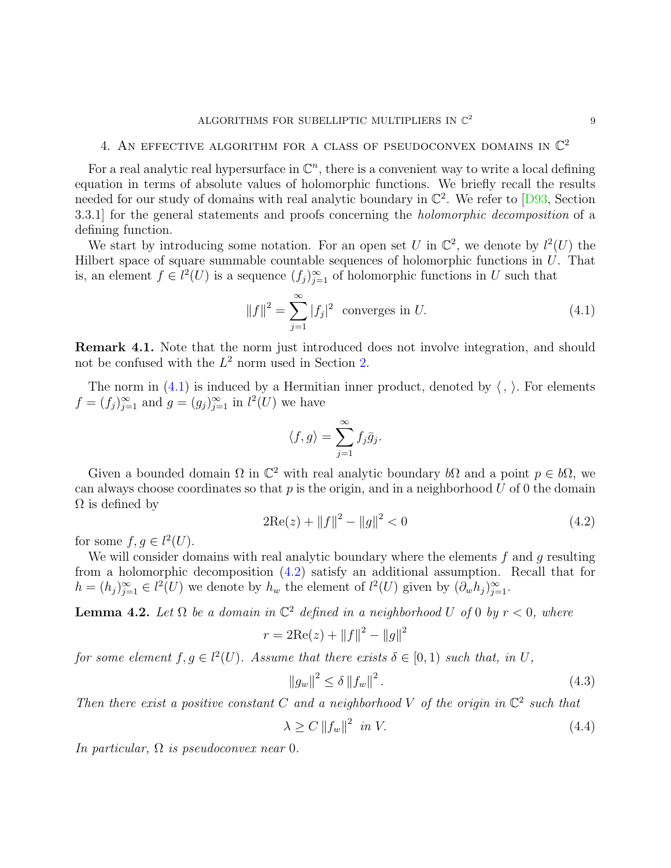# <span id="page-8-1"></span>4. AN EFFECTIVE ALGORITHM FOR A CLASS OF PSEUDOCONVEX DOMAINS IN  $\mathbb{C}^2$

For a real analytic real hypersurface in  $\mathbb{C}^n$ , there is a convenient way to write a local defining equation in terms of absolute values of holomorphic functions. We briefly recall the results needed for our study of domains with real analytic boundary in  $\mathbb{C}^2$ . We refer to  $[D93, Section$ 3.3.1] for the general statements and proofs concerning the holomorphic decomposition of a defining function.

We start by introducing some notation. For an open set U in  $\mathbb{C}^2$ , we denote by  $l^2(U)$  the Hilbert space of square summable countable sequences of holomorphic functions in U. That is, an element  $f \in l^2(U)$  is a sequence  $(f_j)_{j=1}^{\infty}$  of holomorphic functions in U such that

<span id="page-8-2"></span>
$$
||f||^2 = \sum_{j=1}^{\infty} |f_j|^2
$$
 converges in *U*. (4.1)

Remark 4.1. Note that the norm just introduced does not involve integration, and should not be confused with the  $L^2$  norm used in Section [2.](#page-2-0)

The norm in [\(4.1\)](#page-8-2) is induced by a Hermitian inner product, denoted by  $\langle , \rangle$ . For elements  $f = (f_j)_{j=1}^{\infty}$  and  $g = (g_j)_{j=1}^{\infty}$  in  $l^2(U)$  we have

$$
\langle f, g \rangle = \sum_{j=1}^{\infty} f_j \bar{g}_j.
$$

Given a bounded domain  $\Omega$  in  $\mathbb{C}^2$  with real analytic boundary  $b\Omega$  and a point  $p \in b\Omega$ , we can always choose coordinates so that  $p$  is the origin, and in a neighborhood  $U$  of 0 the domain  $\Omega$  is defined by

<span id="page-8-3"></span>
$$
2\text{Re}(z) + ||f||^2 - ||g||^2 < 0\tag{4.2}
$$

for some  $f, g \in l^2(U)$ .

We will consider domains with real analytic boundary where the elements  $f$  and  $g$  resulting from a holomorphic decomposition [\(4.2\)](#page-8-3) satisfy an additional assumption. Recall that for  $h = (h_j)_{j=1}^{\infty} \in l^2(U)$  we denote by  $h_w$  the element of  $l^2(U)$  given by  $(\partial_w h_j)_{j=1}^{\infty}$ .

<span id="page-8-0"></span>**Lemma 4.2.** Let  $\Omega$  be a domain in  $\mathbb{C}^2$  defined in a neighborhood U of 0 by  $r < 0$ , where

$$
r = 2\text{Re}(z) + ||f||^2 - ||g||^2
$$

for some element  $f, g \in l^2(U)$ . Assume that there exists  $\delta \in [0,1)$  such that, in U,

<span id="page-8-4"></span>
$$
||g_w||^2 \le \delta ||f_w||^2. \tag{4.3}
$$

Then there exist a positive constant C and a neighborhood V of the origin in  $\mathbb{C}^2$  such that

<span id="page-8-5"></span>
$$
\lambda \ge C \left\| f_w \right\|^2 \text{ in } V. \tag{4.4}
$$

In particular,  $\Omega$  is pseudoconvex near 0.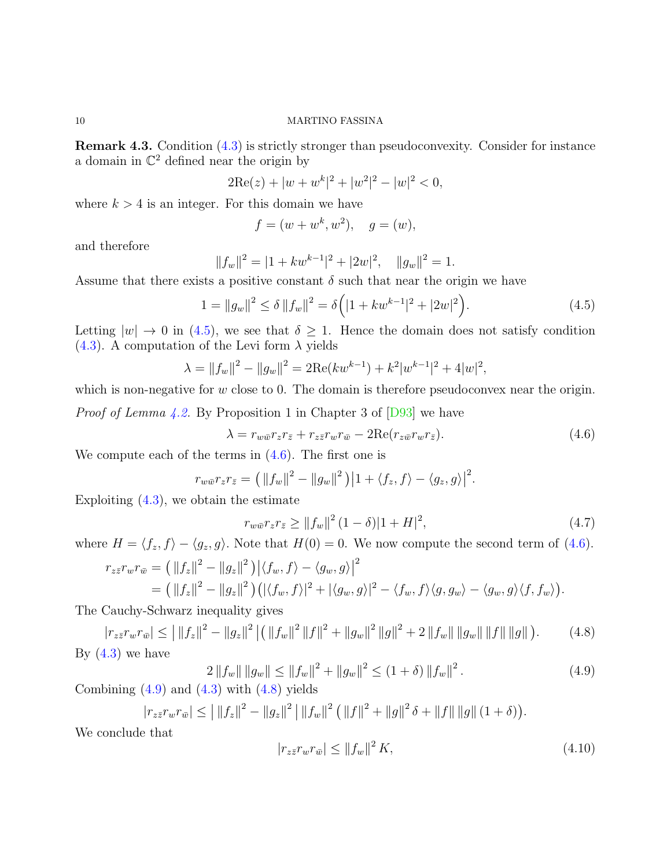<span id="page-9-6"></span>Remark 4.3. Condition [\(4.3\)](#page-8-4) is strictly stronger than pseudoconvexity. Consider for instance a domain in  $\mathbb{C}^2$  defined near the origin by

$$
2\text{Re}(z) + |w + w^k|^2 + |w^2|^2 - |w|^2 < 0,
$$

where  $k > 4$  is an integer. For this domain we have

$$
f = (w + w^k, w^2), \quad g = (w),
$$

and therefore

$$
||f_w||^2 = |1 + kw^{k-1}|^2 + |2w|^2, \quad ||g_w||^2 = 1.
$$

Assume that there exists a positive constant  $\delta$  such that near the origin we have

<span id="page-9-0"></span>
$$
1 = ||g_w||^2 \le \delta ||f_w||^2 = \delta \left( |1 + kw^{k-1}|^2 + |2w|^2 \right). \tag{4.5}
$$

Letting  $|w| \to 0$  in [\(4.5\)](#page-9-0), we see that  $\delta \geq 1$ . Hence the domain does not satisfy condition [\(4.3\)](#page-8-4). A computation of the Levi form  $\lambda$  yields

$$
\lambda = ||f_w||^2 - ||g_w||^2 = 2\text{Re}(kw^{k-1}) + k^2|w^{k-1}|^2 + 4|w|^2,
$$

which is non-negative for  $w$  close to 0. The domain is therefore pseudoconvex near the origin.

*Proof of Lemma [4.2.](#page-8-0)* By Proposition 1 in Chapter 3 of  $[D93]$  we have

<span id="page-9-1"></span>
$$
\lambda = r_{w\bar{w}}r_zr_{\bar{z}} + r_{z\bar{z}}r_wr_{\bar{w}} - 2\text{Re}(r_{z\bar{w}}r_wr_{\bar{z}}). \tag{4.6}
$$

We compute each of the terms in  $(4.6)$ . The first one is

$$
r_{w\bar{w}}r_zr_{\bar{z}} = \left(\|f_w\|^2 - \|g_w\|^2\right)\left|1 + \langle f_z, f\rangle - \langle g_z, g\rangle\right|^2.
$$

Exploiting  $(4.3)$ , we obtain the estimate

<span id="page-9-4"></span>
$$
r_{w\bar{w}}r_zr_{\bar{z}} \ge ||f_w||^2 (1 - \delta)|1 + H|^2,
$$
\n(4.7)

where  $H = \langle f_z, f \rangle - \langle g_z, g \rangle$ . Note that  $H(0) = 0$ . We now compute the second term of [\(4.6\)](#page-9-1).

$$
r_{z\bar{z}}r_{w}r_{\bar{w}} = (||f_z||^2 - ||g_z||^2) |\langle f_w, f \rangle - \langle g_w, g \rangle|^2
$$
  
= 
$$
(||f_z||^2 - ||g_z||^2) (|\langle f_w, f \rangle|^2 + |\langle g_w, g \rangle|^2 - \langle f_w, f \rangle \langle g, g_w \rangle - \langle g_w, g \rangle \langle f, f_w \rangle).
$$

The Cauchy-Schwarz inequality gives

<span id="page-9-3"></span>
$$
|r_{z\bar{z}}r_{w}r_{\bar{w}}| \le |||f_z||^2 - ||g_z||^2 ||(||f_w||^2 ||f||^2 + ||g_w||^2 ||g||^2 + 2 ||f_w|| ||g_w|| ||f|| ||g||).
$$
 (4.8)  
By (4.3) we have

<span id="page-9-2"></span>
$$
2\left\|f_w\right\|\left\|g_w\right\| \le \left\|f_w\right\|^2 + \left\|g_w\right\|^2 \le \left(1+\delta\right) \left\|f_w\right\|^2. \tag{4.9}
$$

Combining  $(4.9)$  and  $(4.3)$  with  $(4.8)$  yields

$$
|r_{z\bar{z}}r_{w}r_{\bar{w}}| \leq ||f_{z}||^{2} - ||g_{z}||^{2} ||f_{w}||^{2} (||f||^{2} + ||g||^{2} \delta + ||f|| ||g|| (1 + \delta)).
$$

We conclude that

<span id="page-9-5"></span>
$$
|r_{z\bar{z}}r_wr_{\bar{w}}| \le ||f_w||^2 K,\tag{4.10}
$$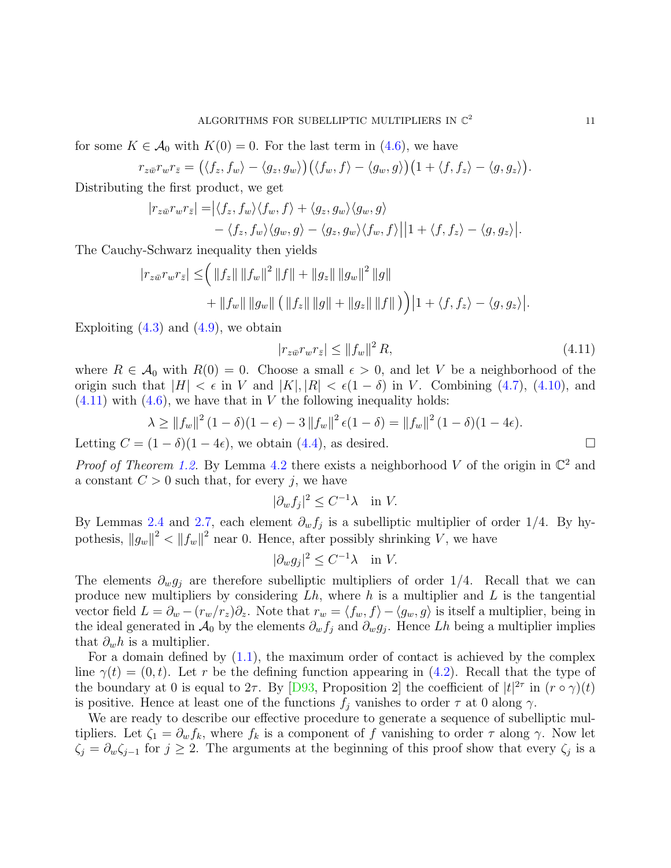for some  $K \in \mathcal{A}_0$  with  $K(0) = 0$ . For the last term in [\(4.6\)](#page-9-1), we have

$$
r_{z\bar{w}}r_{w}r_{\bar{z}}=\big(\langle f_z,f_w\rangle-\langle g_z,g_w\rangle\big)\big(\langle f_w,f\rangle-\langle g_w,g\rangle\big)\big(1+\langle f,f_z\rangle-\langle g,g_z\rangle\big).
$$

Distributing the first product, we get

$$
\begin{aligned} |r_{z\bar{w}}r_{w}r_{\bar{z}}| = & \left| \langle f_z, f_w \rangle \langle f_w, f \rangle + \langle g_z, g_w \rangle \langle g_w, g \rangle \right. \\ &\left. - \langle f_z, f_w \rangle \langle g_w, g \rangle - \langle g_z, g_w \rangle \langle f_w, f \rangle \right| \left| 1 + \langle f, f_z \rangle - \langle g, g_z \rangle \right|. \end{aligned}
$$

The Cauchy-Schwarz inequality then yields

$$
|r_{z\bar{w}}r_{w}r_{\bar{z}}| \leq (||f_z|| ||f_w||^2 ||f|| + ||g_z|| ||g_w||^2 ||g||
$$
  
+  $||f_w|| ||g_w|| (||f_z|| ||g|| + ||g_z|| ||f||) ||1 + \langle f, f_z \rangle - \langle g, g_z \rangle|.$ 

Exploiting  $(4.3)$  and  $(4.9)$ , we obtain

<span id="page-10-0"></span>
$$
|r_{z\bar{w}}r_{w}r_{\bar{z}}| \le ||f_w||^2 R,\tag{4.11}
$$

where  $R \in \mathcal{A}_0$  with  $R(0) = 0$ . Choose a small  $\epsilon > 0$ , and let V be a neighborhood of the origin such that  $|H| < \epsilon$  in V and  $|K|, |R| < \epsilon(1 - \delta)$  in V. Combining [\(4.7\)](#page-9-4), [\(4.10\)](#page-9-5), and  $(4.11)$  with  $(4.6)$ , we have that in V the following inequality holds:

$$
\lambda \ge ||f_w||^2 (1 - \delta)(1 - \epsilon) - 3 ||f_w||^2 \epsilon (1 - \delta) = ||f_w||^2 (1 - \delta)(1 - 4\epsilon).
$$

Letting  $C = (1 - \delta)(1 - 4\epsilon)$ , we obtain [\(4.4\)](#page-8-5), as desired.

*Proof of Theorem [1.2.](#page-2-1)* By Lemma [4.2](#page-8-0) there exists a neighborhood V of the origin in  $\mathbb{C}^2$  and a constant  $C > 0$  such that, for every j, we have

$$
|\partial_w f_j|^2 \le C^{-1} \lambda \quad \text{in } V.
$$

By Lemmas [2.4](#page-3-3) and [2.7,](#page-4-1) each element  $\partial_w f_j$  is a subelliptic multiplier of order 1/4. By hypothesis,  $||g_w||^2 < ||f_w||^2$  near 0. Hence, after possibly shrinking V, we have

$$
|\partial_w g_j|^2 \le C^{-1} \lambda \quad \text{in } V.
$$

The elements  $\partial_w g_j$  are therefore subelliptic multipliers of order 1/4. Recall that we can produce new multipliers by considering  $Lh$ , where h is a multiplier and  $L$  is the tangential vector field  $L = \partial_w - (r_w/r_z)\partial_z$ . Note that  $r_w = \langle f_w, f \rangle - \langle g_w, g \rangle$  is itself a multiplier, being in the ideal generated in  $\mathcal{A}_0$  by the elements  $\partial_w f_j$  and  $\partial_w g_j$ . Hence Lh being a multiplier implies that  $\partial_w h$  is a multiplier.

For a domain defined by  $(1.1)$ , the maximum order of contact is achieved by the complex line  $\gamma(t) = (0, t)$ . Let r be the defining function appearing in [\(4.2\)](#page-8-3). Recall that the type of the boundary at 0 is equal to  $2\tau$ . By [\[D93,](#page-12-9) Proposition 2] the coefficient of  $|t|^{2\tau}$  in  $(r \circ \gamma)(t)$ is positive. Hence at least one of the functions  $f_j$  vanishes to order  $\tau$  at 0 along  $\gamma$ .

We are ready to describe our effective procedure to generate a sequence of subelliptic multipliers. Let  $\zeta_1 = \partial_w f_k$ , where  $f_k$  is a component of f vanishing to order  $\tau$  along  $\gamma$ . Now let  $\zeta_j = \partial_w \zeta_{j-1}$  for  $j \geq 2$ . The arguments at the beginning of this proof show that every  $\zeta_j$  is a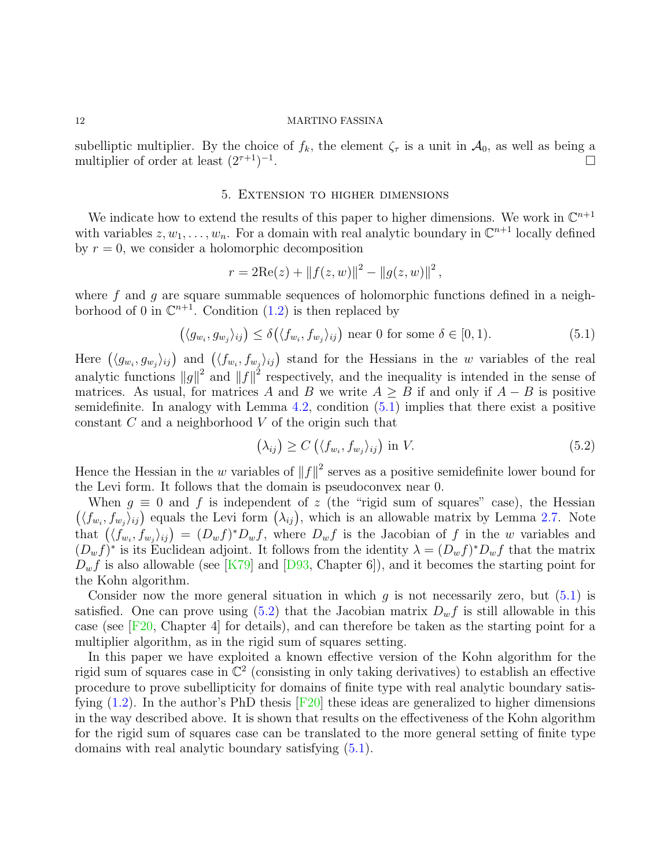subelliptic multiplier. By the choice of  $f_k$ , the element  $\zeta_{\tau}$  is a unit in  $\mathcal{A}_0$ , as well as being a multiplier of order at least  $(2^{\tau+1})^{-1}$ .

#### 5. Extension to higher dimensions

We indicate how to extend the results of this paper to higher dimensions. We work in  $\mathbb{C}^{n+1}$ with variables  $z, w_1, \ldots, w_n$ . For a domain with real analytic boundary in  $\mathbb{C}^{n+1}$  locally defined by  $r = 0$ , we consider a holomorphic decomposition

$$
r = 2\text{Re}(z) + ||f(z, w)||^{2} - ||g(z, w)||^{2},
$$

where f and q are square summable sequences of holomorphic functions defined in a neighborhood of 0 in  $\mathbb{C}^{n+1}$ . Condition [\(1.2\)](#page-1-2) is then replaced by

<span id="page-11-0"></span>
$$
(\langle g_{w_i}, g_{w_j} \rangle_{ij}) \le \delta(\langle f_{w_i}, f_{w_j} \rangle_{ij}) \text{ near } 0 \text{ for some } \delta \in [0, 1). \tag{5.1}
$$

Here  $(\langle g_{w_i}, g_{w_j} \rangle_{ij})$  and  $(\langle f_{w_i}, f_{w_j} \rangle_{ij})$  stand for the Hessians in the w variables of the real analytic functions  $||g||^2$  and  $||f||^2$  respectively, and the inequality is intended in the sense of matrices. As usual, for matrices A and B we write  $A \geq B$  if and only if  $A - B$  is positive semidefinite. In analogy with Lemma  $4.2$ , condition  $(5.1)$  implies that there exist a positive constant  $C$  and a neighborhood  $V$  of the origin such that

<span id="page-11-1"></span>
$$
(\lambda_{ij}) \ge C\left(\langle f_{w_i}, f_{w_j} \rangle_{ij}\right) \text{ in } V. \tag{5.2}
$$

Hence the Hessian in the w variables of  $||f||^2$  serves as a positive semidefinite lower bound for the Levi form. It follows that the domain is pseudoconvex near 0.

When  $g \equiv 0$  and f is independent of z (the "rigid sum of squares" case), the Hessian  $(\langle f_{w_i}, f_{w_j} \rangle_{ij})$  equals the Levi form  $(\lambda_{ij})$ , which is an allowable matrix by Lemma [2.7.](#page-4-1) Note that  $(\langle f_{w_i}, f_{w_j} \rangle_{ij}) = (D_w f)^* D_w f$ , where  $D_w f$  is the Jacobian of f in the w variables and  $(D_w f)^*$  is its Euclidean adjoint. It follows from the identity  $\lambda = (D_w f)^* D_w f$  that the matrix  $D_w f$  is also allowable (see [\[K79\]](#page-12-3) and [\[D93,](#page-12-9) Chapter 6]), and it becomes the starting point for the Kohn algorithm.

Consider now the more general situation in which  $g$  is not necessarily zero, but  $(5.1)$  is satisfied. One can prove using  $(5.2)$  that the Jacobian matrix  $D_w f$  is still allowable in this case (see [\[F20,](#page-12-15) Chapter 4] for details), and can therefore be taken as the starting point for a multiplier algorithm, as in the rigid sum of squares setting.

In this paper we have exploited a known effective version of the Kohn algorithm for the rigid sum of squares case in  $\mathbb{C}^2$  (consisting in only taking derivatives) to establish an effective procedure to prove subellipticity for domains of finite type with real analytic boundary satisfying  $(1.2)$ . In the author's PhD thesis  $|F20|$  these ideas are generalized to higher dimensions in the way described above. It is shown that results on the effectiveness of the Kohn algorithm for the rigid sum of squares case can be translated to the more general setting of finite type domains with real analytic boundary satisfying [\(5.1\)](#page-11-0).